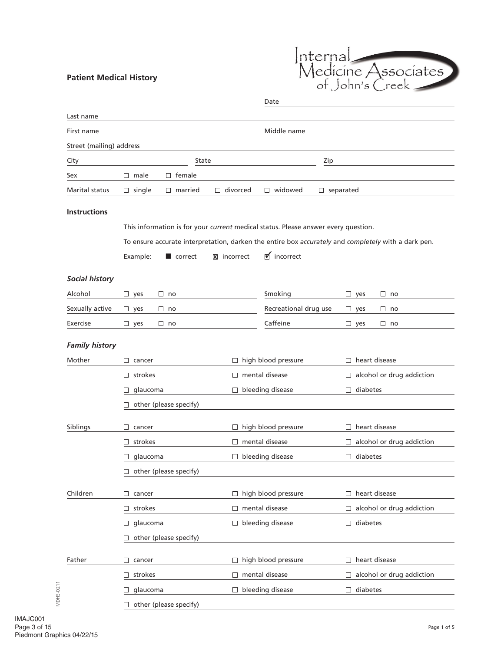## **Patient Medical History**



|                          |                                                                                    |                                   | Date                       |                                                                                                     |
|--------------------------|------------------------------------------------------------------------------------|-----------------------------------|----------------------------|-----------------------------------------------------------------------------------------------------|
| Last name                |                                                                                    |                                   |                            |                                                                                                     |
| First name               |                                                                                    |                                   | Middle name                |                                                                                                     |
| Street (mailing) address |                                                                                    |                                   |                            |                                                                                                     |
| City                     | State                                                                              |                                   |                            | Zip                                                                                                 |
| Sex                      | $\Box$ male<br>female<br>$\Box$                                                    |                                   |                            |                                                                                                     |
| <b>Marital status</b>    | $\Box$ single<br>$\Box$ married                                                    | divorced<br>$\Box$                | $\Box$ widowed             | separated<br>$\Box$                                                                                 |
| <b>Instructions</b>      |                                                                                    |                                   |                            |                                                                                                     |
|                          | This information is for your current medical status. Please answer every question. |                                   |                            |                                                                                                     |
|                          |                                                                                    |                                   |                            | To ensure accurate interpretation, darken the entire box accurately and completely with a dark pen. |
|                          | Example:<br>correct                                                                | $\overline{\mathbf{x}}$ incorrect | $\blacksquare$ incorrect   |                                                                                                     |
| <b>Social history</b>    |                                                                                    |                                   |                            |                                                                                                     |
| Alcohol                  | $\Box$ yes<br>$\Box$ no                                                            |                                   | Smoking                    | $\square$ yes<br>$\Box$ no                                                                          |
| Sexually active          | $\Box$ yes<br>$\Box$ no                                                            |                                   | Recreational drug use      | $\Box$ no<br>$\Box$ yes                                                                             |
| Exercise                 | $\Box$ no<br>$\Box$ yes                                                            |                                   | Caffeine                   | $\Box$ no<br>$\Box$ yes                                                                             |
| <b>Family history</b>    |                                                                                    |                                   |                            |                                                                                                     |
| Mother                   | $\Box$ cancer                                                                      |                                   | $\Box$ high blood pressure | $\Box$ heart disease                                                                                |
|                          | strokes<br>$\Box$                                                                  | П                                 | mental disease             | alcohol or drug addiction<br>$\Box$                                                                 |
|                          | glaucoma<br>⊔                                                                      |                                   | $\Box$ bleeding disease    | diabetes<br>$\Box$                                                                                  |
|                          | other (please specify)                                                             |                                   |                            |                                                                                                     |
| Siblings                 | $\Box$<br>cancer                                                                   | $\Box$                            | high blood pressure        | $\Box$ heart disease                                                                                |
|                          | strokes<br>$\Box$                                                                  | $\Box$                            | mental disease             | alcohol or drug addiction<br>$\Box$                                                                 |
|                          | glaucoma                                                                           |                                   | $\Box$ bleeding disease    | $\Box$ diabetes                                                                                     |
|                          | other (please specify)                                                             |                                   |                            |                                                                                                     |
| Children                 | $\Box$ cancer                                                                      |                                   | $\Box$ high blood pressure | $\Box$ heart disease                                                                                |
|                          | strokes<br>$\Box$                                                                  | $\Box$                            | mental disease             | alcohol or drug addiction<br>$\Box$                                                                 |
|                          | glaucoma                                                                           |                                   | $\Box$ bleeding disease    | diabetes<br>$\Box$                                                                                  |
|                          | $\Box$ other (please specify)                                                      |                                   |                            |                                                                                                     |
| Father                   | $\Box$ cancer                                                                      |                                   | $\Box$ high blood pressure | heart disease<br>$\Box$                                                                             |
|                          | strokes<br>$\Box$                                                                  | $\Box$                            | mental disease             | alcohol or drug addiction<br>$\Box$                                                                 |
|                          | glaucoma                                                                           | $\Box$                            | bleeding disease           | diabetes<br>$\Box$                                                                                  |
|                          | $\Box$ other (please specify)                                                      |                                   |                            |                                                                                                     |

MDHS-0211

MDHS-0211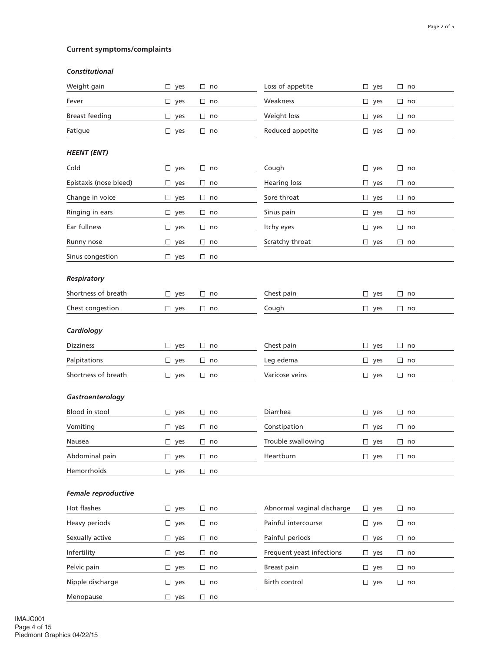# **Current symptoms/complaints**

#### *Constitutional*

| Weight gain            | $\square$ yes | □<br>no      | Loss of appetite           | □<br>yes      | $\Box$ no |
|------------------------|---------------|--------------|----------------------------|---------------|-----------|
| Fever                  | $\Box$ yes    | $\Box$<br>no | Weakness                   | □<br>yes      | $\Box$ no |
| <b>Breast feeding</b>  | $\Box$ yes    | $\Box$<br>no | Weight loss                | $\Box$<br>yes | $\Box$ no |
| Fatigue                | $\Box$ yes    | $\Box$<br>no | Reduced appetite           | □<br>yes      | $\Box$ no |
| <b>HEENT (ENT)</b>     |               |              |                            |               |           |
| Cold                   | $\Box$ yes    | $\Box$<br>no | Cough                      | □<br>yes      | $\Box$ no |
| Epistaxis (nose bleed) | $\Box$ yes    | $\Box$<br>no | <b>Hearing loss</b>        | □<br>yes      | $\Box$ no |
| Change in voice        | $\Box$ yes    | $\Box$<br>no | Sore throat                | □<br>yes      | $\Box$ no |
| Ringing in ears        | $\Box$ yes    | $\Box$<br>no | Sinus pain                 | $\Box$<br>yes | $\Box$ no |
| Ear fullness           | $\Box$ yes    | $\Box$<br>no | Itchy eyes                 | □<br>yes      | $\Box$ no |
| Runny nose             | $\Box$ yes    | $\Box$<br>no | Scratchy throat            | □<br>yes      | $\Box$ no |
| Sinus congestion       | $\Box$ yes    | $\Box$ no    |                            |               |           |
| Respiratory            |               |              |                            |               |           |
| Shortness of breath    | $\Box$ yes    | $\Box$<br>no | Chest pain                 | $\Box$<br>yes | $\Box$ no |
| Chest congestion       | $\Box$ yes    | $\Box$ no    | Cough                      | $\Box$ yes    | $\Box$ no |
|                        |               |              |                            |               |           |
| Cardiology             |               |              |                            |               |           |
| <b>Dizziness</b>       | $\Box$ yes    | $\Box$<br>no | Chest pain                 | □<br>yes      | $\Box$ no |
| Palpitations           | $\Box$ yes    | $\Box$<br>no | Leg edema                  | $\Box$<br>yes | $\Box$ no |
| Shortness of breath    | $\Box$ yes    | $\Box$<br>no | Varicose veins             | □<br>yes      | $\Box$ no |
| Gastroenterology       |               |              |                            |               |           |
| Blood in stool         | $\Box$ yes    | $\Box$<br>no | Diarrhea                   | □<br>yes      | $\Box$ no |
| Vomiting               | $\Box$ yes    | $\Box$<br>no | Constipation               | $\Box$<br>yes | $\Box$ no |
| Nausea                 | $\Box$ yes    | $\Box$ no    | Trouble swallowing         | $\Box$ yes    | $\Box$ no |
| Abdominal pain         | $\Box$ yes    | $\Box$<br>no | Heartburn                  | □<br>yes      | $\Box$ no |
| Hemorrhoids            | $\Box$ yes    | $\Box$ no    |                            |               |           |
| Female reproductive    |               |              |                            |               |           |
| Hot flashes            | $\Box$ yes    | $\Box$ no    | Abnormal vaginal discharge | □<br>yes      | $\Box$ no |
| Heavy periods          | $\Box$ yes    | $\Box$<br>no | Painful intercourse        | □<br>yes      | $\Box$ no |
| Sexually active        | $\Box$ yes    | $\Box$<br>no | Painful periods            | $\Box$<br>yes | $\Box$ no |
| Infertility            | $\Box$ yes    | $\Box$<br>no | Frequent yeast infections  | □<br>yes      | $\Box$ no |
| Pelvic pain            | $\Box$ yes    | $\Box$ no    | Breast pain                | $\Box$ yes    | $\Box$ no |
| Nipple discharge       | $\Box$ yes    | $\Box$<br>no | Birth control              | □<br>yes      | $\Box$ no |
| Menopause              | $\Box$ yes    | $\Box$ no    |                            |               |           |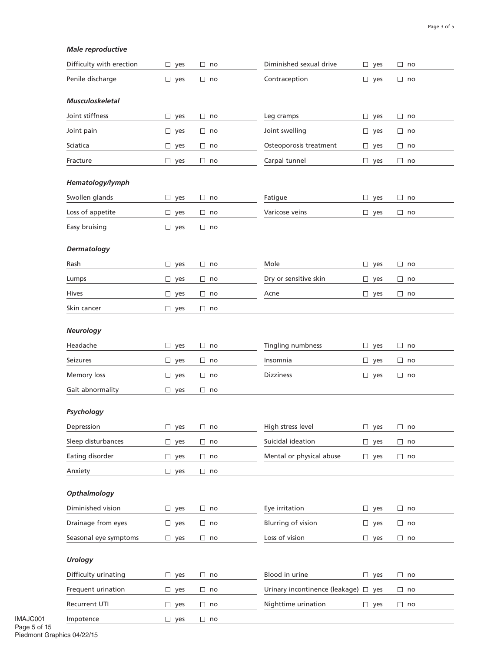#### *Male reproductive*

| Difficulty with erection | yes<br>$\Box$ | $\Box$ no | Diminished sexual drive              | $\Box$ yes    | $\Box$<br>no |
|--------------------------|---------------|-----------|--------------------------------------|---------------|--------------|
| Penile discharge         | $\Box$ yes    | $\Box$ no | Contraception                        | $\Box$ yes    | $\Box$ no    |
| <b>Musculoskeletal</b>   |               |           |                                      |               |              |
| Joint stiffness          | $\Box$ yes    | $\Box$ no | Leg cramps                           | $\Box$ yes    | $\Box$ no    |
| Joint pain               | $\Box$ yes    | $\Box$ no | Joint swelling                       | $\Box$ yes    | $\Box$ no    |
| Sciatica                 | $\Box$ yes    | $\Box$ no | Osteoporosis treatment               | $\Box$ yes    | $\Box$ no    |
| Fracture                 | $\Box$ yes    | $\Box$ no | Carpal tunnel                        | $\Box$ yes    | $\Box$ no    |
|                          |               |           |                                      |               |              |
| Hematology/lymph         |               |           |                                      |               |              |
| Swollen glands           | $\Box$ yes    | $\Box$ no | Fatigue                              | $\Box$ yes    | $\Box$ no    |
| Loss of appetite         | $\Box$ yes    | $\Box$ no | Varicose veins                       | $\square$ yes | $\Box$ no    |
| Easy bruising            | $\Box$ yes    | $\Box$ no |                                      |               |              |
| Dermatology              |               |           |                                      |               |              |
| Rash                     | $\Box$ yes    | $\Box$ no | Mole                                 | $\Box$ yes    | $\Box$ no    |
| Lumps                    | $\Box$ yes    | $\Box$ no | Dry or sensitive skin                | $\Box$ yes    | $\Box$ no    |
| Hives                    | $\Box$ yes    | $\Box$ no | Acne                                 | $\Box$ yes    | $\Box$ no    |
| Skin cancer              | $\Box$ yes    | $\Box$ no |                                      |               |              |
| <b>Neurology</b>         |               |           |                                      |               |              |
| Headache                 | $\Box$ yes    | $\Box$ no | Tingling numbness                    | $\square$ yes | $\Box$ no    |
| Seizures                 | $\Box$ yes    | $\Box$ no | Insomnia                             | $\Box$ yes    | $\Box$ no    |
| Memory loss              | $\Box$ yes    | $\Box$ no | <b>Dizziness</b>                     | $\Box$ yes    | $\Box$ no    |
| Gait abnormality         | $\Box$ yes    | $\Box$ no |                                      |               |              |
|                          |               |           |                                      |               |              |
| Psychology               |               |           |                                      |               |              |
| Depression               | $\Box$ yes    | $\Box$ no | High stress level                    | $\Box$ yes    | no<br>⊔      |
| Sleep disturbances       | $\Box$ yes    | $\Box$ no | Suicidal ideation                    | $\Box$ yes    | $\Box$ no    |
| Eating disorder          | $\Box$ yes    | $\Box$ no | Mental or physical abuse             | $\square$ yes | $\Box$ no    |
| Anxiety                  | $\Box$ yes    | $\Box$ no |                                      |               |              |
|                          |               |           |                                      |               |              |
| Opthalmology             |               |           |                                      |               |              |
| Diminished vision        | $\Box$ yes    | $\Box$ no | Eye irritation                       | $\Box$ yes    | $\Box$ no    |
| Drainage from eyes       | $\Box$ yes    | $\Box$ no | <b>Blurring of vision</b>            | $\Box$ yes    | $\Box$ no    |
| Seasonal eye symptoms    | $\Box$ yes    | $\Box$ no | Loss of vision                       | $\Box$ yes    | $\Box$ no    |
| <b>Urology</b>           |               |           |                                      |               |              |
| Difficulty urinating     | $\Box$ yes    | $\Box$ no | Blood in urine                       | $\Box$ yes    | $\Box$ no    |
| Frequent urination       | $\Box$ yes    | $\Box$ no | Urinary incontinence (leakage) □ yes |               | $\Box$ no    |
| Recurrent UTI            | $\Box$ yes    | $\Box$ no | Nighttime urination                  | $\square$ yes | $\Box$ no    |
| Impotence                | $\Box$ yes    | $\Box$ no |                                      |               |              |

IMAJC001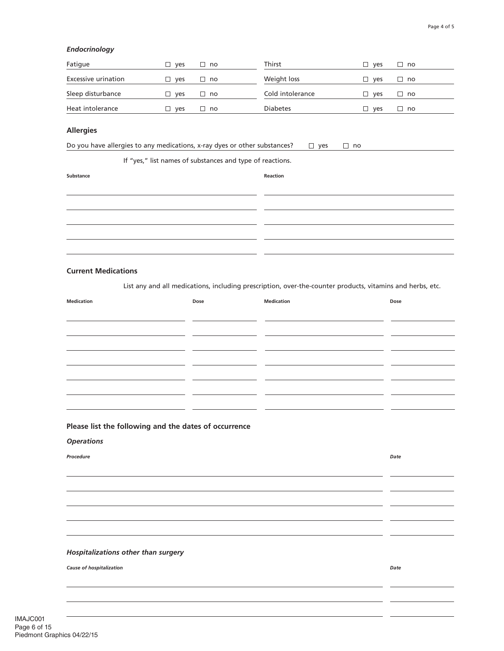#### *Endocrinology*

| Fatigue             | ves | no        | Thirst           | ves                   | $\Box$ no |
|---------------------|-----|-----------|------------------|-----------------------|-----------|
| Excessive urination | ves | $\Box$ no | Weight loss      | ves                   | $\Box$ no |
| Sleep disturbance   | ves | $\Box$ no | Cold intolerance | ves<br>$\blacksquare$ | $\Box$ no |
| Heat intolerance    | ves | l no      | <b>Diabetes</b>  | ves                   | $\Box$ no |

#### **Allergies**

Do you have allergies to any medications, x-ray dyes or other substances?  $\Box$  yes  $\Box$  no

If "yes," list names of substances and type of reactions.

| Substance | Reaction |
|-----------|----------|
|           |          |
|           |          |
|           |          |
|           |          |
|           |          |

#### **Current Medications**

List any and all medications, including prescription, over-the-counter products, vitamins and herbs, etc.

| <b>Medication</b>                                     | Dose | <b>Medication</b> | Dose |
|-------------------------------------------------------|------|-------------------|------|
|                                                       |      |                   |      |
|                                                       |      |                   |      |
|                                                       |      |                   |      |
|                                                       |      |                   |      |
|                                                       |      |                   |      |
|                                                       |      |                   |      |
|                                                       |      |                   |      |
| Please list the following and the dates of occurrence |      |                   |      |
| <b>Operations</b>                                     |      |                   |      |
| Procedure                                             |      |                   | Date |
|                                                       |      |                   |      |
|                                                       |      |                   |      |
|                                                       |      |                   |      |
|                                                       |      |                   |      |
|                                                       |      |                   |      |
| Hospitalizations other than surgery                   |      |                   |      |
| <b>Cause of hospitalization</b>                       |      |                   | Date |
|                                                       |      |                   |      |
|                                                       |      |                   |      |